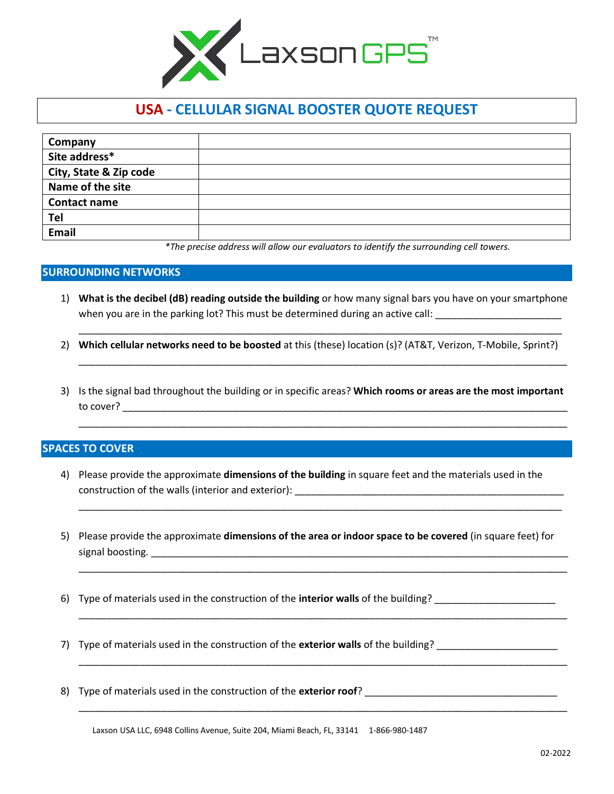

## **USA - CELLULAR SIGNAL BOOSTER QUOTE REQUEST**

| Company                |  |
|------------------------|--|
| Site address*          |  |
| City, State & Zip code |  |
| Name of the site       |  |
| <b>Contact name</b>    |  |
| Tel                    |  |
| <b>Email</b>           |  |

*\*The precise address will allow our evaluators to identify the surrounding cell towers.*

## **SURROUNDING NETWORKS**

1) **What is the decibel (dB) reading outside the building** or how many signal bars you have on your smartphone when you are in the parking lot? This must be determined during an active call:

\_\_\_\_\_\_\_\_\_\_\_\_\_\_\_\_\_\_\_\_\_\_\_\_\_\_\_\_\_\_\_\_\_\_\_\_\_\_\_\_\_\_\_\_\_\_\_\_\_\_\_\_\_\_\_\_\_\_\_\_\_\_\_\_\_\_\_\_\_\_\_\_\_\_\_\_\_\_\_\_\_\_\_\_\_\_\_\_

\_\_\_\_\_\_\_\_\_\_\_\_\_\_\_\_\_\_\_\_\_\_\_\_\_\_\_\_\_\_\_\_\_\_\_\_\_\_\_\_\_\_\_\_\_\_\_\_\_\_\_\_\_\_\_\_\_\_\_\_\_\_\_\_\_\_\_\_\_\_\_\_\_\_\_\_\_\_\_\_\_\_\_\_\_\_\_\_\_

\_\_\_\_\_\_\_\_\_\_\_\_\_\_\_\_\_\_\_\_\_\_\_\_\_\_\_\_\_\_\_\_\_\_\_\_\_\_\_\_\_\_\_\_\_\_\_\_\_\_\_\_\_\_\_\_\_\_\_\_\_\_\_\_\_\_\_\_\_\_\_\_\_\_\_\_\_\_\_\_\_\_\_\_\_\_\_\_\_

\_\_\_\_\_\_\_\_\_\_\_\_\_\_\_\_\_\_\_\_\_\_\_\_\_\_\_\_\_\_\_\_\_\_\_\_\_\_\_\_\_\_\_\_\_\_\_\_\_\_\_\_\_\_\_\_\_\_\_\_\_\_\_\_\_\_\_\_\_\_\_\_\_\_\_\_\_\_\_\_\_\_\_\_\_\_\_\_

\_\_\_\_\_\_\_\_\_\_\_\_\_\_\_\_\_\_\_\_\_\_\_\_\_\_\_\_\_\_\_\_\_\_\_\_\_\_\_\_\_\_\_\_\_\_\_\_\_\_\_\_\_\_\_\_\_\_\_\_\_\_\_\_\_\_\_\_\_\_\_\_\_\_\_\_\_\_\_\_\_\_\_\_\_\_\_\_\_

\_\_\_\_\_\_\_\_\_\_\_\_\_\_\_\_\_\_\_\_\_\_\_\_\_\_\_\_\_\_\_\_\_\_\_\_\_\_\_\_\_\_\_\_\_\_\_\_\_\_\_\_\_\_\_\_\_\_\_\_\_\_\_\_\_\_\_\_\_\_\_\_\_\_\_\_\_\_\_\_\_\_\_\_\_\_\_\_\_

\_\_\_\_\_\_\_\_\_\_\_\_\_\_\_\_\_\_\_\_\_\_\_\_\_\_\_\_\_\_\_\_\_\_\_\_\_\_\_\_\_\_\_\_\_\_\_\_\_\_\_\_\_\_\_\_\_\_\_\_\_\_\_\_\_\_\_\_\_\_\_\_\_\_\_\_\_\_\_\_\_\_\_\_\_\_\_\_\_

\_\_\_\_\_\_\_\_\_\_\_\_\_\_\_\_\_\_\_\_\_\_\_\_\_\_\_\_\_\_\_\_\_\_\_\_\_\_\_\_\_\_\_\_\_\_\_\_\_\_\_\_\_\_\_\_\_\_\_\_\_\_\_\_\_\_\_\_\_\_\_\_\_\_\_\_\_\_\_\_\_\_\_\_\_\_\_\_\_

- 2) **Which cellular networks need to be boosted** at this (these) location (s)? (AT&T, Verizon, T-Mobile, Sprint?)
- 3) Is the signal bad throughout the building or in specific areas? **Which rooms or areas are the most important** to cover? \_\_\_\_\_\_\_\_\_\_\_\_\_\_\_\_\_\_\_\_\_\_\_\_\_\_\_\_\_\_\_\_\_\_\_\_\_\_\_\_\_\_\_\_\_\_\_\_\_\_\_\_\_\_\_\_\_\_\_\_\_\_\_\_\_\_\_\_\_\_\_\_\_\_\_\_\_\_\_\_\_

## **SPACES TO COVER**

- 4) Please provide the approximate **dimensions of the building** in square feet and the materials used in the construction of the walls (interior and exterior): \_\_\_\_\_\_\_\_\_\_\_\_\_\_\_\_\_\_\_\_\_\_\_\_\_\_\_\_\_\_\_\_\_\_\_\_\_\_\_\_\_\_\_\_\_\_\_\_\_
- 5) Please provide the approximate **dimensions of the area or indoor space to be covered** (in square feet) for signal boosting. The state of the state of the state of the state of the state of the state of the state of the state of the state of the state of the state of the state of the state of the state of the state of the state
- 6) Type of materials used in the construction of the **interior walls** of the building? \_\_\_\_\_\_\_\_\_\_\_\_\_\_\_\_\_\_\_\_\_\_
- 7) Type of materials used in the construction of the **exterior walls** of the building?
- 8) Type of materials used in the construction of the **exterior roof**? \_\_\_\_\_\_\_\_\_\_\_\_\_\_\_\_\_\_\_\_\_\_\_\_\_\_\_\_\_\_\_\_\_\_\_

Laxson USA LLC, 6948 Collins Avenue, Suite 204, Miami Beach, FL, 33141 1-866-980-1487